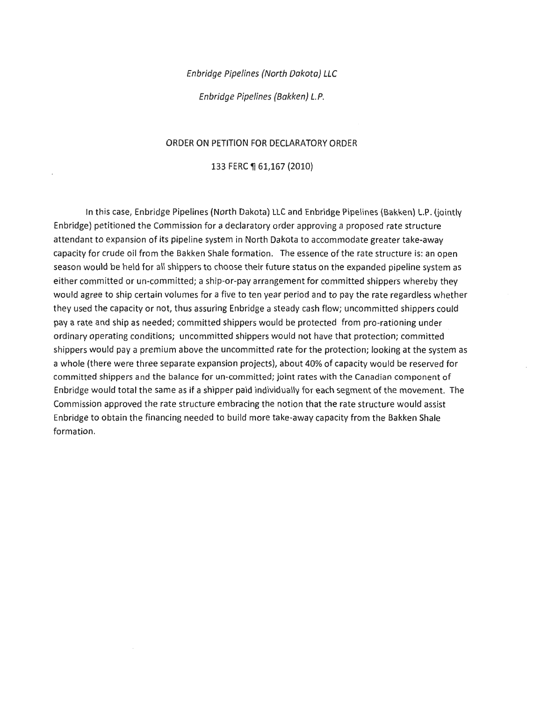#### Enbridge Pipelines (North Dakota) LLC

Enbridge Pipelines (Bakken) L.P.

#### ORDER ON PETITION FOR DECLARATORY ORDER

#### 133 FERC ¶ 61,167 (2010)

In this case, Enbridge Pipelines (North Dakota) LLC and Enbridge Pipelines (Bakken) L.P. (jointly Enbridge) petitioned the Commission for a declaratory order approving a proposed rate structure attendant to expansion of its pipeline system in North Dakota to accommodate greater take-away capacity for crude oil from the Bakken Shale formation. The essence of the rate structure is: an open season would be held for all shippers to choose their future status on the expanded pipeline system as either committed or un-committed; a ship-or-pay arrangement for committed shippers whereby they would agree to ship certain volumes for a five to ten year period and to pay the rate regardless whether they used the capacity or not, thus assuring Enbridge a steady cash flow; uncommitted shippers could pay a rate and ship as needed; committed shippers would be protected from pro-rationing under ordinary operating conditions; uncommitted shippers would not have that protection; committed shippers would pay a premium above the uncommitted rate for the protection; looking at the system as a whole (there were three separate expansion projects), about 40% of capacity would be reserved for committed shippers and the balance for un-committed; joint rates with the Canadian component of En bridge would total the same as if a shipper paid individually for each segment of the movement. The Commission approved the rate structure embracing the notion that the rate structure would assist Enbridge to obtain the financing needed to build more take-away capacity from the Bakken Shale formation.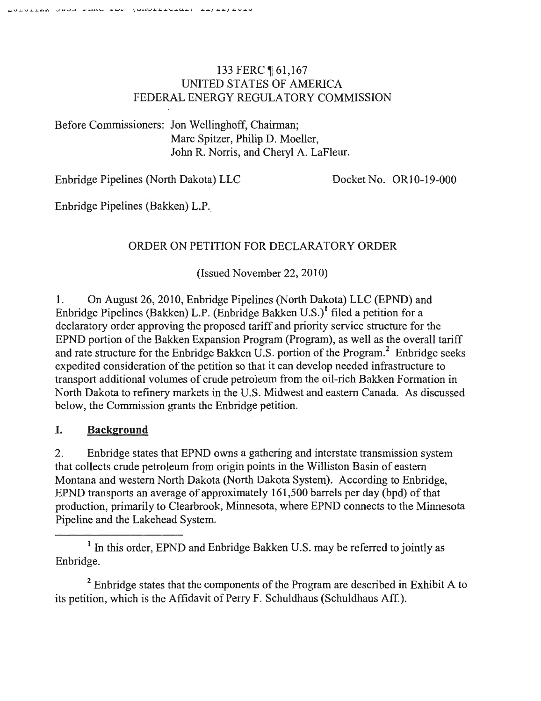# 133 FERC ¶ 61,167 UNITED STATES OF AMERICA FEDERAL ENERGY REGULATORY COMMISSION

Before Commissioners: Jon Wellinghoff, Chairman; Marc Spitzer, Philip D. Moeller, John R. Norris, and Cheryl A. LaFleur.

Enbridge Pipelines (North Dakota) LLC Docket No. OR10-19-000

Enbridge Pipelines (Bakken) L.P.

# ORDER ON PETITION FOR DECLARATORY ORDER

(Issued November 22, 2010)

1. On August 26, 2010, Enbridge Pipelines (North Dakota) LLC (EPND) and Enbridge Pipelines (Bakken) L.P. (Enbridge Bakken U.S.)<sup>1</sup> filed a petition for a declaratory order approving the proposed tariff and priority service structure for the EPND portion of the Bakken Expansion Program (Program), as well as the overall tariff and rate structure for the Enbridge Bakken U.S. portion of the Program.<sup>2</sup> Enbridge seeks expedited consideration of the petition so that it can develop needed infrastructure to transport additional volumes of crude petroleum from the oil-rich Bakken Formation in North Dakota to refinery markets in the U.S. Midwest and eastern Canada. As discussed below, the Commission grants the Enbridge petition.

# I. Background

2. Enbridge states that EPND owns a gathering and interstate transmission system that collects crude petroleum from origin points in the Williston Basin of eastern Montana and western North Dakota (North Dakota System). According to Enbridge, EPND transports an average of approximately 161,500 barrels per day (bpd) of that production, primarily to Clearbrook, Minnesota, where EPND connects to the Minnesota Pipeline and the Lakehead System.

<sup>1</sup> In this order, EPND and Enbridge Bakken U.S. may be referred to jointly as Enbridge.

<sup>2</sup> Enbridge states that the components of the Program are described in Exhibit A to its petition, which is the Affidavit of Perry F. Schuldhaus (Schuldhaus Aff.).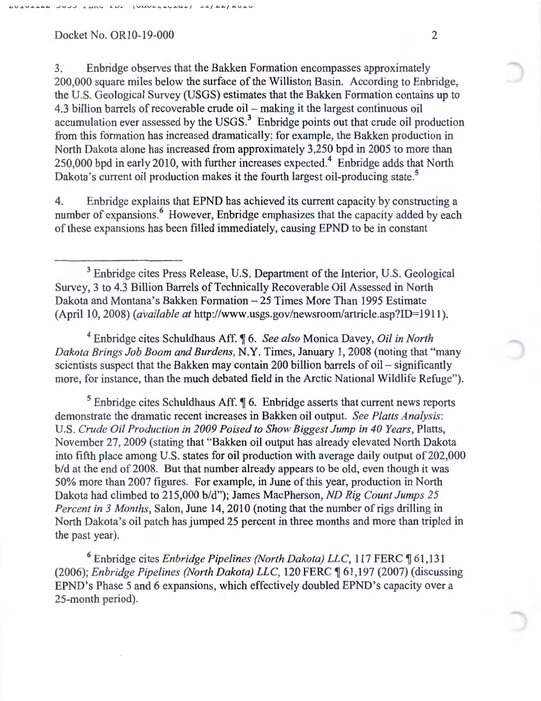3. Enbridge observes that the Bakken Formation encompasses approximately 200,000 square miles below the surface of the Williston Basin. According to Enbridge, the U.S. Geological Survey (USGS) estimates that the Bakken Formation contains up to 4.3 billion barrels of recoverable crude oil- making it the largest continuous oil accumulation ever assessed by the USGS. $3$  Enbridge points out that crude oil production from this formation has increased dramatically; for example, the Bakken production in North Dakota alone has increased from approximately 3,250 bpd in 2005 to more than 250,000 bpd in early 2010, with further increases expected.<sup>4</sup> Enbridge adds that North Dakota's current oil production makes it the fourth largest oil-producing state.<sup>5</sup>

4. Enbridge explains that EPND has achieved its current capacity by constructing a number of expansions.<sup>6</sup> However, Enbridge emphasizes that the capacity added by each of these expansions has been filled immediately, causing EPND to be in constant

<sup>3</sup> Enbridge cites Press Release, U.S. Department of the Interior, U.S. Geological Survey, 3 to 4.3 Billion Barrels of Technically Recoverable Oil Assessed in North Dakota and Montana's Bakken Formation- 25 Times More Than 1995 Estimate (April 10, 2008) *(available at http://www.usgs.gov/newsroom/artricle.asp?ID=1911).* 

4 Enbridge cites Schuldhaus Aff. ~ 6. *See also* Monica Davey, *Oil in North Dakota Brings Job Boom and Burdens,* N.Y. Times, January I, 2008 (noting that "many scientists suspect that the Bakken may contain 200 billion barrels of oil  $-$  significantly more, for instance, than the much debated field in the Arctic National Wildlife Refuge").

 $5$  Enbridge cites Schuldhaus Aff.  $\sqrt{\ }$  6. Enbridge asserts that current news reports demonstrate the dramatic recent increases in Bakken oil output. *See Platts Analysis:*  U.S. *Crude Oil Production in 2009 Poised to Show Biggest Jump in 40 Years,* Platts, November 27, 2009 (stating that "Bakken oil output has already elevated North Dakota into fifth place among U.S. states for oil production with average daily output of 202,000 b/d at the end of 2008. But that number already appears to be old, even though it was 50% more than 2007 figures. For example, in June of this year, production in North Dakota had climbed to 215,000 b/d"); James MacPherson, *ND Rig Count Jumps 25 Percent in 3 Months, Salon, June 14, 2010 (noting that the number of rigs drilling in* North Dakota's oil patch has jumped 25 percent in three months and more than tripled in the past year).

<sup>6</sup> Enbridge cites *Enbridge Pipelines (North Dakota) LLC*, 117 FERC 161,131 (2006); *Enbridge Pipelines (North Dakota) LLC*, 120 FERC ¶ 61,197 (2007) (discussing EPND's Phase 5 and 6 expansions, which effectively doubled EPND's capacity over a 25-month period).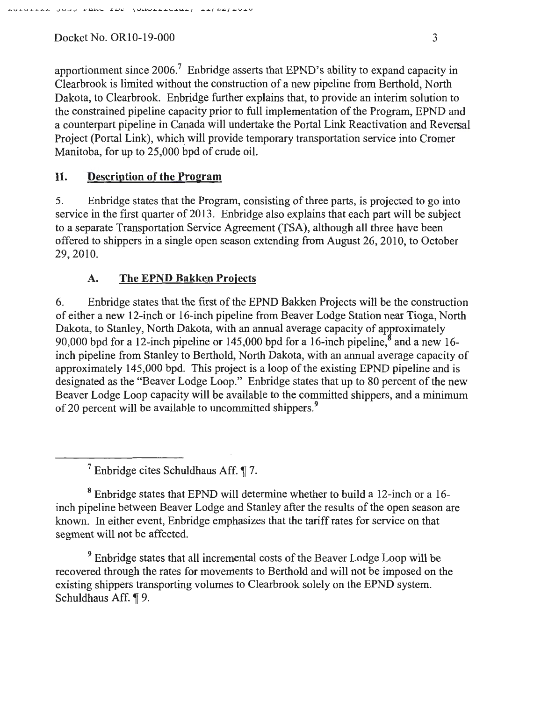apportionment since  $2006<sup>7</sup>$  Enbridge asserts that EPND's ability to expand capacity in Clearbrook is limited without the construction of a new pipeline from Berthold, North Dakota, to Clearbrook. Enbridge further explains that, to provide an interim solution to the constrained pipeline capacity prior to full implementation of the Program, EPND and a counterpart pipeline in Canada will undertake the Portal Link Reactivation and Reversal Project (Portal Link), which will provide temporary transportation service into Cromer Manitoba, for up to 25,000 bpd of crude oil.

## **II. Description of the Program**

5. Enbridge states that the Program, consisting of three parts, is projected to go into service in the first quarter of 2013. Enbridge also explains that each part will be subject to a separate Transportation Service Agreement (TSA), although all three have been offered to shippers in a single open season extending from August 26, 2010, to October 29,2010.

## A. **The EPND Bakken Projects**

6. En bridge states that the first of the EPND Bakken Projects will be the construction of either a new 12-inch or 16-inch pipeline from Beaver Lodge Station near Tioga, North Dakota, to Stanley, North Dakota, with an annual average capacity of approximately 90,000 bpd for a 12-inch pipeline or 145,000 bpd for a 16-inch pipeline,<sup>8</sup> and a new 16inch pipeline from Stanley to Berthold, North Dakota, with an annual average capacity of approximately 145,000 bpd. This project is a loop of the existing EPND pipeline and is designated as the "Beaver Lodge Loop." Enbridge states that up to 80 percent of the new Beaver Lodge Loop capacity will be available to the committed shippers, and a minimum of 20 percent will be available to uncommitted shippers.<sup>9</sup>

 $<sup>7</sup>$  Enbridge cites Schuldhaus Aff.  $\P$  7.</sup>

8 Enbridge states that EPND will determine whether to build a 12-inch or a 16 inch pipeline between Beaver Lodge and Stanley after the results of the open season are known. In either event, Enbridge emphasizes that the tariff rates for service on that segment will not be affected.

9 Enbridge states that all incremental costs of the Beaver Lodge Loop will be recovered through the rates for movements to Berthold and will not be imposed on the existing shippers transporting volumes to Clearbrook solely on the EPND system. Schuldhaus Aff. ¶ 9.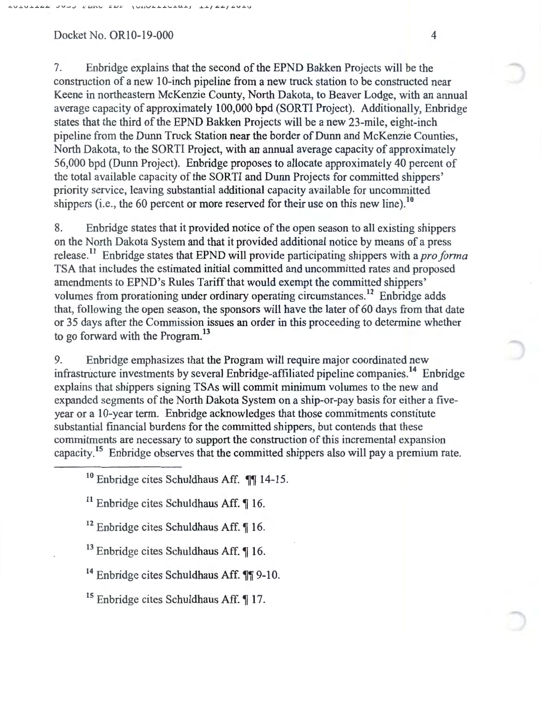7. En bridge explains that the second of the EPND Bakken Projects will be the construction of a new 10-inch pipeline from a new truck station to be constructed near Keene in northeastern McKenzie County, North Dakota, to Beaver Lodge, with an annual average capacity of approximately 100,000 bpd (SORTI Project). Additionally, Enbridge states that the third of the EPND Bakken Projects will be a new 23-mile, eight-inch pipeline from the Dunn Truck Station near the border of Dunn and McKenzie Counties, North Dakota, to the SORTI Project, with an annual average capacity of approximately 56,000 bpd (Dunn Project). Enbridge proposes to allocate approximately 40 percent of the total available capacity of the SORTI and Dunn Projects for committed shippers' priority service, leaving substantial additional capacity available for uncommitted shippers (i.e., the 60 percent or more reserved for their use on this new line).<sup>10</sup>

8. Enbridge states that it provided notice of the open season to all existing shippers on the North Dakota System and that it provided additional notice by means of a press release. 11 En bridge states that EPND will provide participating shippers with a *pro forma*  TSA that includes the estimated initial committed and uncommitted rates and proposed amendments to EPND's Rules Tariff that would exempt the committed shippers' volumes from prorationing under ordinary operating circumstances.<sup>12</sup> Enbridge adds that, following the open season, the sponsors will have the later of 60 days from that date or 35 days after the Commission issues an order in this proceeding to determine whether to go forward with the Program.<sup>13</sup>

9. Enbridge emphasizes that the Program will require major coordinated new infrastructure investments by several Enbridge-affiliated pipeline companies.<sup>14</sup> Enbridge explains that shippers signing TSAs will commit minimum volumes to the new and expanded segments of the North Dakota System on a ship-or-pay basis for either a fiveyear or a 10-year term. Enbridge acknowledges that those commitments constitute substantial financial burdens for the committed shippers, but contends that these commitments are necessary to support the construction of this incremental expansion capacity.<sup>15</sup> Enbridge observes that the committed shippers also will pay a premium rate.

 $10$  Enbridge cites Schuldhaus Aff.  $\P\P$ 14-15.

 $11$  Enbridge cites Schuldhaus Aff.  $\P$  16.

 $12$  Enbridge cites Schuldhaus Aff.  $\P$  16.

 $13$  Enbridge cites Schuldhaus Aff.  $\P$  16.

 $14$  Enbridge cites Schuldhaus Aff.  $\P\P$  9-10.

 $15$  Enbridge cites Schuldhaus Aff.  $\P$  17.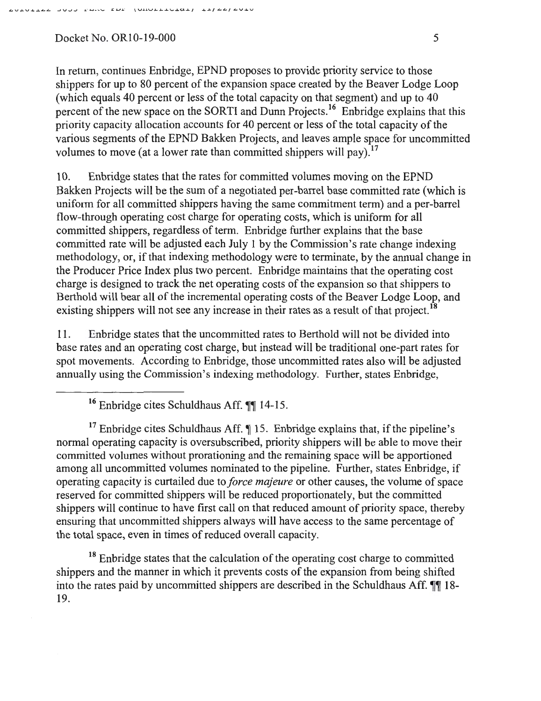In return, continues Enbridge, EPND proposes to provide priority service to those shippers for up to 80 percent of the expansion space created by the Beaver Lodge Loop (which equals 40 percent or less of the total capacity on that segment) and up to 40 percent of the new space on the SORTI and Dunn Projects.<sup>16</sup> Enbridge explains that this priority capacity allocation accounts for 40 percent or less of the total capacity of the various segments of the EPND Bakken Projects, and leaves ample space for uncommitted volumes to move (at a lower rate than committed shippers will pay).  $17$ 

10. Enbridge states that the rates for committed volumes moving on the EPND Bakken Projects will be the sum of a negotiated per-barrel base committed rate (which is uniform for all committed shippers having the same commitment term) and a per-barrel flow-through operating cost charge for operating costs, which is uniform for all committed shippers, regardless of term. Enbridge further explains that the base committed rate will be adjusted each July 1 by the Commission's rate change indexing methodology, or, if that indexing methodology were to terminate, by the annual change in the Producer Price Index plus two percent. Enbridge maintains that the operating cost charge is designed to track the net operating costs of the expansion so that shippers to Berthold will bear all of the incremental operating costs of the Beaver Lodge Loop, and existing shippers will not see any increase in their rates as a result of that project.<sup>18</sup>

11. Enbridge states that the uncommitted rates to Berthold will not be divided into base rates and an operating cost charge, but instead will be traditional one-part rates for spot movements. According to Enbridge, those uncommitted rates also will be adjusted annually using the Commission's indexing methodology. Further, states Enbridge,

 $16$  Enbridge cites Schuldhaus Aff.  $\P\P$  14-15.

<sup>17</sup> Enbridge cites Schuldhaus Aff.  $\parallel$  15. Enbridge explains that, if the pipeline's normal operating capacity is oversubscribed, priority shippers will be able to move their committed volumes without prorationing and the remaining space will be apportioned among all uncommitted volumes nominated to the pipeline. Further, states Enbridge, if operating capacity is curtailed due to *force majeure* or other causes, the volume of space reserved for committed shippers will be reduced proportionately, but the committed shippers will continue to have first call on that reduced amount of priority space, thereby ensuring that uncommitted shippers always will have access to the same percentage of the total space, even in times of reduced overall capacity.

<sup>18</sup> Enbridge states that the calculation of the operating cost charge to committed shippers and the manner in which it prevents costs of the expansion from being shifted into the rates paid by uncommitted shippers are described in the Schuldhaus Aff.  $\P\P$  18-19.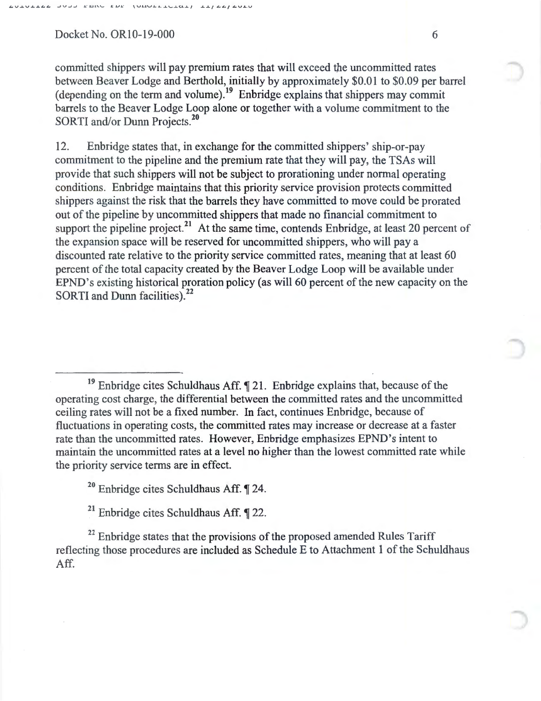committed shippers will pay premium rates that will exceed the uncommitted rates between Beaver Lodge and Berthold, initially by approximately \$0.01 to \$0.09 per barrel (depending on the term and volume).<sup>19</sup> Enbridge explains that shippers may commit barrels to the Beaver Lodge Loop alone or together with a volume commitment to the SORTI and/or Dunn Projects.<sup>20</sup>

12. Enbridge states that, in exchange for the committed shippers' ship-or-pay commitment to the pipeline and the premium rate that they will pay, the TSAs will provide that such shippers will not be subject to prorationing under normal operating conditions. Enbridge maintains that this priority service provision protects committed shippers against the risk that the barrels they have committed to move could be prorated out of the pipeline by uncommitted shippers that made no financial commitment to support the pipeline project.<sup>21</sup> At the same time, contends Enbridge, at least 20 percent of the expansion space will be reserved for uncommitted shippers, who will pay a discounted rate relative to the priority service committed rates, meaning that at least 60 percent of the total capacity created by the Beaver Lodge Loop will be available under EPND 's existing historical proration policy (as will 60 percent of the new capacity on the SORTI and Dunn facilities).<sup>22</sup>

 $19$  Enbridge cites Schuldhaus Aff.  $\P$  21. Enbridge explains that, because of the operating cost charge, the differential between the committed rates and the uncommitted ceiling rates will not be a fixed number. In fact, continues Enbridge, because of fluctuations in operating costs, the committed rates may increase or decrease at a faster rate than the uncommitted rates. However, Enbridge emphasizes EPND's intent to maintain the uncommitted rates at a level no higher than the lowest committed rate while the priority service terms are in effect.

 $20$  Enbridge cites Schuldhaus Aff.  $\P$  24.

 $21$  Enbridge cites Schuldhaus Aff.  $\P$  22.

 $^{22}$  Enbridge states that the provisions of the proposed amended Rules Tariff reflecting those procedures are included as Schedule E to Attachment 1 of the Schuldhaus Aff.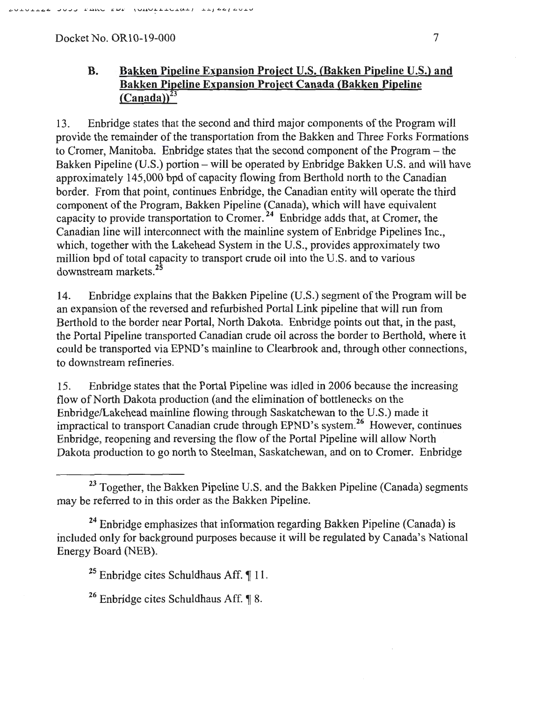# **B. Bakken Pipeline Expansion Project** U.S. **(Bakken Pipeline** U.S.) **and Bakken Pipeline Expansion Project Canada (Bakken Pipeline**   $(Canada)^{23}$

13. Enbridge states that the second and third major components of the Program will provide the remainder of the transportation from the Bakken and Three Forks Formations to Cromer, Manitoba. Enbridge states that the second component of the Program- the Bakken Pipeline (U.S.) portion- will be operated by Enbridge Bakken U.S. and will have approximately 145,000 bpd of capacity flowing from Berthold north to the Canadian border. From that point, continues Enbridge, the Canadian entity will operate the third component of the Program, Bakken Pipeline (Canada), which will have equivalent capacity to provide transportation to Cromer.  $^{24}$  Enbridge adds that, at Cromer, the Canadian line will interconnect with the mainline system of Enbridge Pipelines Inc., which, together with the Lakehead System in the U.S., provides approximately two million bpd of total capacity to transport crude oil into the U.S. and to various downstream markets.<sup>25</sup>

14. Enbridge explains that the Bakken Pipeline (U.S.) segment of the Program will be an expansion of the reversed and refurbished Portal Link pipeline that will run from Berthold to the border near Portal, North Dakota. Enbridge points out that, in the past, the Portal Pipeline transported Canadian crude oil across the border to Berthold, where it could be transported via EPND's mainline to Clearbrook and, through other connections, to downstream refineries.

15. Enbridge states that the Portal Pipeline was idled in 2006 because the increasing flow of North Dakota production (and the elimination of bottlenecks on the Enbridge/Lakehead mainline flowing through Saskatchewan to the U.S.) made it impractical to transport Canadian crude through EPND's system.26 However, continues Enbridge, reopening and reversing the flow of the Portal Pipeline will allow North Dakota production to go north to Steelman, Saskatchewan, and on to Cromer. Enbridge

<sup>26</sup> Enbridge cites Schuldhaus Aff.  $\P$  8.

 $23$  Together, the Bakken Pipeline U.S. and the Bakken Pipeline (Canada) segments may be referred to in this order as the Bakken Pipeline.

 $24$  Enbridge emphasizes that information regarding Bakken Pipeline (Canada) is included only for background purposes because it will be regulated by Canada's National Energy Board (NEB).

 $25$  Enbridge cites Schuldhaus Aff.  $\llbracket$  11.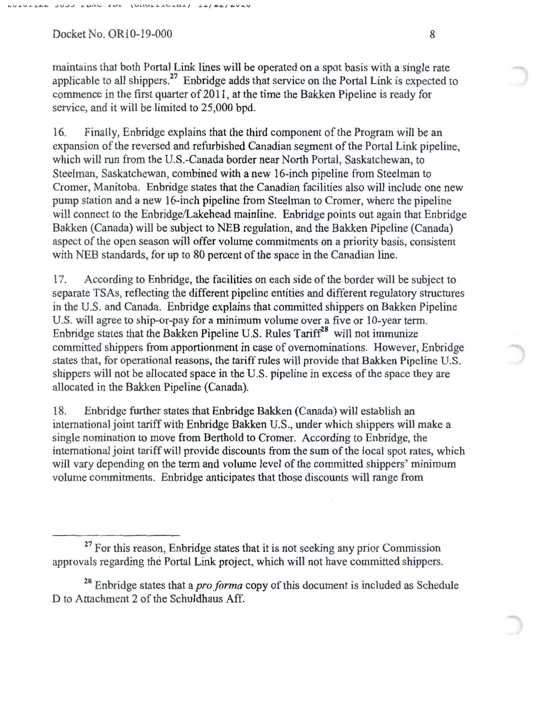maintains that both Portal Link lines will be operated on a spot basis with a single rate applicable to all shippers. $27$  Enbridge adds that service on the Portal Link is expected to commence in the first quarter of 2011, at the time the Bakken Pipeline is ready for service, and it will be limited to 25,000 bpd.

16. Finally, Enbridge explains that the third component of the Program will be an expansion of the reversed and refurbished Canadian segment of the Portal Link pipeline, which will run from the U.S.-Canada border near North Portal, Saskatchewan, to Steelman, Saskatchewan, combined with a new 16-inch pipeline from Steelman to Cromer, Manitoba. Enbridge states that the Canadian facilities also will include one new pump station and a new 16-inch pipeline from Steelman to Cromer, where the pipeline will connect to the Enbridge/Lakehead mainline. Enbridge points out again that Enbridge Bakken (Canada) will be subject to NEB regulation, and the Bakken Pipeline (Canada) aspect of the open season will offer volume commitments on a priority basis, consistent with NEB standards, for up to 80 percent of the space in the Canadian line.

17. According to Enbridge, the facilities on each side of the border will be subject to separate TSAs, reflecting the different pipeline entities and different regulatory structures in the U.S. and Canada. Enbridge explains that committed shippers on Bakken Pipeline U.S. will agree to ship-or-pay for a minimum volume over a five or 10-year term. Enbridge states that the Bakken Pipeline U.S. Rules  $T$ ariff<sup>28</sup> will not immunize committed shippers from apportionment in case of ovemominations. However, Enbridge states that, for operational reasons, the tariff rules will provide that Bakken Pipeline U.S. shippers will not be allocated space in the U.S. pipeline in excess of the space they are allocated in the Bakken Pipeline (Canada).

18. Enbridge further states that Enbridge Bakken (Canada) will establish an international joint tariff with Enbridge Bakken U.S., under which shippers will make a single nomination to move from Berthold to Cromer. According to Enbridge, the international joint tariff will provide discounts from the sum of the local spot rates, which will vary depending on the term and volume level of the committed shippers' minimum volume commitments. Enbridge anticipates that those discounts will range from

<sup>28</sup> Enbridge states that a *pro forma* copy of this document is included as Schedule D to Attachment 2 of the Schuldhaus Aff.

 $27$  For this reason, Enbridge states that it is not seeking any prior Commission approvals regarding the Portal Link project, which will not have committed shippers.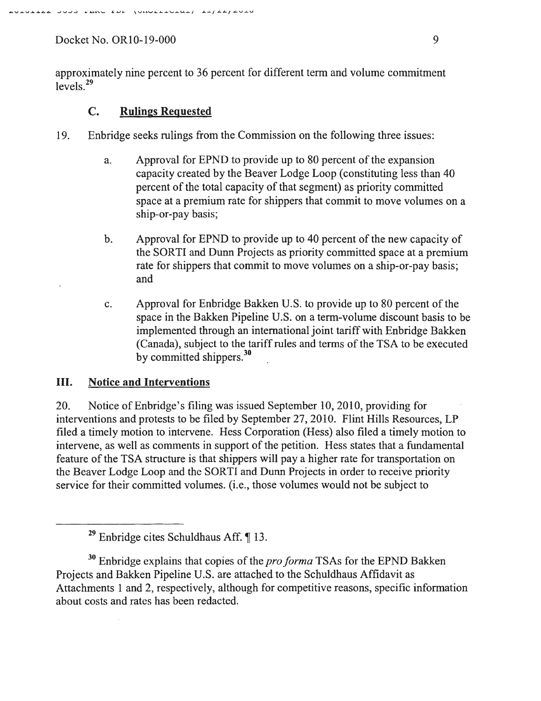approximately nine percent to 36 percent for different term and volume commitment levels.<sup>29</sup>

## C. Rulings Requested

- 19. En bridge seeks rulings from the Commission on the following three issues:
	- a. Approval for EPND to provide up to 80 percent of the expansion capacity created by the Beaver Lodge Loop (constituting less than 40 percent of the total capacity of that segment) as priority committed space at a premium rate for shippers that commit to move volumes on a ship-or-pay basis;
	- b. Approval for EPND to provide up to 40 percent of the new capacity of the SORTI and Dunn Projects as priority committed space at a premium rate for shippers that commit to move volumes on a ship-or-pay basis; and
	- c. Approval for Enbridge Bakken U.S. to provide up to 80 percent of the space in the Bakken Pipeline U.S. on a term-volume discount basis to be implemented through an international joint tariff with Enbridge Bakken (Canada), subject to the tariff rules and terms of the TSA to be executed by committed shippers.<sup>30</sup>

## III. Notice and Interventions

20. Notice of Enbridge's filing was issued September 10, 2010, providing for interventions and protests to be filed by September 27,2010. Flint Hills Resources, LP filed a timely motion to intervene. Hess Corporation (Hess) also filed a timely motion to intervene, as well as comments in support of the petition. Hess states that a fundamental feature of the TSA structure is that shippers will pay a higher rate for transportation on the Beaver Lodge Loop and the SORT! and Dunn Projects in order to receive priority service for their committed volumes. (i.e., those volumes would not be subject to

<sup>&</sup>lt;sup>29</sup> Enbridge cites Schuldhaus Aff.  $\P$  13.

<sup>30</sup>Enbridge explains that copies of the *pro forma* TSAs for the EPND Bakken Projects and Bakken Pipeline U.S. are attached to the Schuldhaus Affidavit as Attachments 1 and 2, respectively, although for competitive reasons, specific information about costs and rates has been redacted.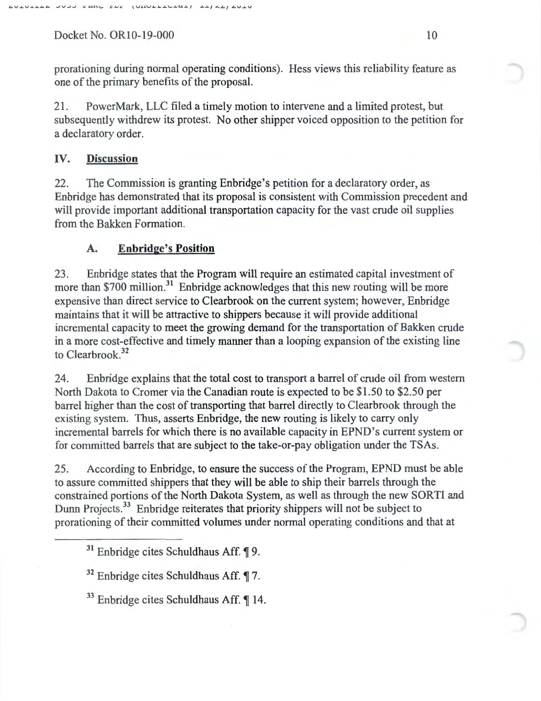prorationing during normal operating conditions). Hess views this reliability feature as one of the primary benefits of the proposal.

21. PowerMark, LLC filed a timely motion to intervene and a limited protest, but subsequently withdrew its protest. No other shipper voiced opposition to the petition for a declaratory order.

## IV. **Discussion**

22. The Commission is granting Enbridge's petition for a declaratory order, as Enbridge has demonstrated that its proposal is consistent with Commission precedent and will provide important additional transportation capacity for the vast crude oil supplies from the Bakken Formation.

## **A. Enbridge's Position**

23. Enbridge states that the Program will require an estimated capital investment of more than  $$700$  million.<sup>31</sup> Enbridge acknowledges that this new routing will be more expensive than direct service to Clearbrook on the current system; however, Enbridge maintains that it will be attractive to shippers because it will provide additional incremental capacity to meet the growing demand for the transportation of Bakken crude in a more cost-effective and timely manner than a looping expansion of the existing line to Clearbrook.<sup>32</sup>

24. Enbridge explains that the total cost to transport a barrel of crude oil from western North Dakota to Cromer via the Canadian route is expected to be \$1.50 to \$2.50 per barrel higher than the cost of transporting that barrel directly to Clearbrook through the existing system. Thus, asserts Enbridge, the new routing is likely to carry only incremental barrels for which there is no available capacity in EPND's current system or for committed barrels that are subject to the take-or-pay obligation under the TSAs.

25. According to Enbridge, to ensure the success of the Program, EPND must be able to assure committed shippers that they will be able to ship their barrels through the constrained portions of the North Dakota System, as well as through the new SORTI and Dunn Projects.<sup>33</sup> Enbridge reiterates that priority shippers will not be subject to prorationing of their committed volumes under normal operating conditions and that at

 $31$  Enbridge cites Schuldhaus Aff.  $\P$ 9.

 $32$  Enbridge cites Schuldhaus Aff.  $\P$  7.

 $33$  Enbridge cites Schuldhaus Aff.  $\P$  14.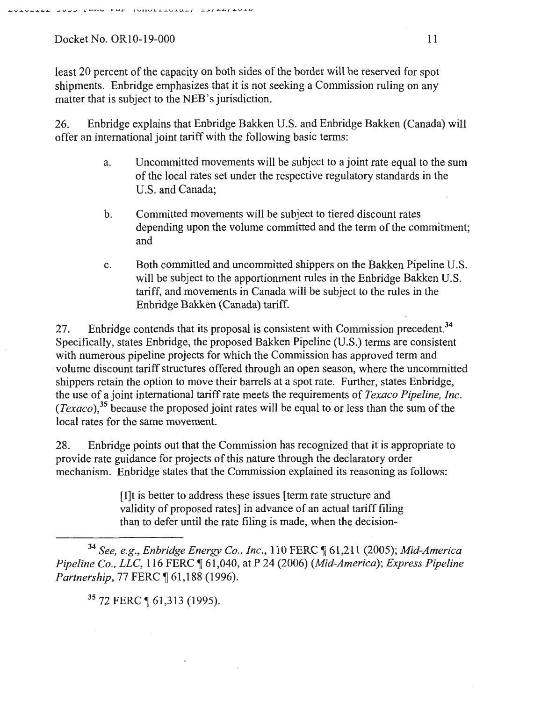least 20 percent of the capacity on both sides of the border will be reserved for spot shipments. Enbridge emphasizes that it is not seeking a Commission ruling on any matter that is subject to the NEB's jurisdiction.

26. Enbridge explains that Enbridge Bakken U.S. and Enbridge Bakken (Canada) will offer an international joint tariff with the following basic terms:

- a. Uncommitted movements will be subject to a joint rate equal to the sum of the local rates set under the respective regulatory standards in the U.S. and Canada;
- b. Committed movements will be subject to tiered discount rates depending upon the volume committed and the term of the commitment; and
- c. Both committed and uncommitted shippers on the Bakken Pipeline U.S. will be subject to the apportionment rules in the Enbridge Bakken U.S. tariff, and movements in Canada will be subject to the rules in the Enbridge Bakken (Canada) tariff.

27. Enbridge contends that its proposal is consistent with Commission precedent.<sup>34</sup> Specifically, states Enbridge, the proposed Bakken Pipeline (U.S.) terms are consistent with numerous pipeline projects for which the Commission has approved term and volume discount tariff structures offered through an open season, where the uncommitted shippers retain the option to move their barrels at a spot rate. Further, states Enbridge, the use of a joint international tariff rate meets the requirements of *Texaco Pipeline, Inc. (Texaco)*,<sup>35</sup> because the proposed joint rates will be equal to or less than the sum of the local rates for the same movement.

28. Enbridge points out that the Commission has recognized that it is appropriate to provide rate guidance for projects of this nature through the declaratory order mechanism. Enbridge states that the Commission explained its reasoning as follows:

> [I]t is better to address these issues [term rate structure and validity of proposed rates] in advance of an actual tariff filing than to defer until the rate filing is made, when the decision-

<sup>34</sup>*See, e.g., En bridge Energy Co., Inc.,* 110 FERC ~ 61,211 (2005); *Mid-America Pipeline Co., LLC, 116 FERC*  $\parallel$  61,040, at P 24 (2006) *(Mid-America); Express Pipeline Partnership, 77 FERC* 161,188 (1996).

35 72 FERC ¶ 61,313 (1995).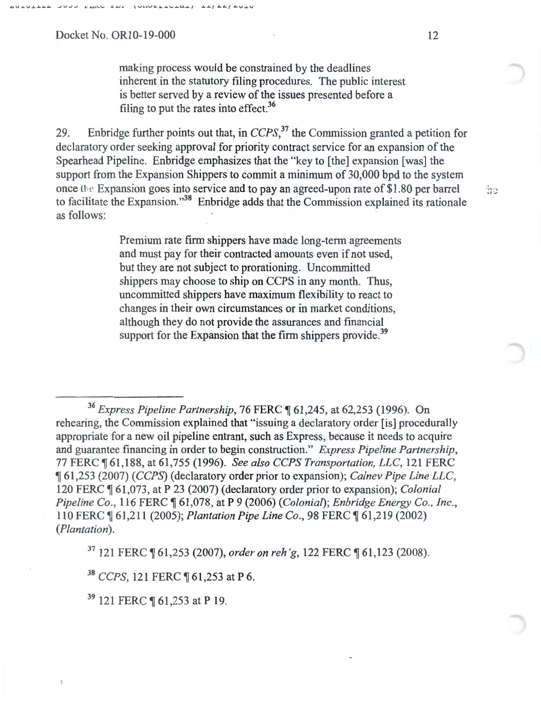making process would be constrained by the deadlines inherent in the statutory filing procedures. The public interest is better served by a review of the issues presented before a filing to put the rates into effect.<sup>36</sup>

29. Enbridge further points out that, in  $CCPS$ ,<sup>37</sup>, the Commission granted a petition for declaratory order seeking approval for priority contract service for an expansion of the Spearhead Pipeline. Enbridge emphasizes that the "key to [the] expansion [was] the support from the Expansion Shippers to commit a minimum of 30,000 bpd to the system once the Expansion goes into service and to pay an agreed-upon rate of \$1.80 per barrel to facilitate the Expansion."38 Enbridge adds that the Commission explained its rationale as follows:

> Premium rate firm shippers have made long-term agreements and must pay for their contracted amounts even if not used, but they are not subject to prorationing. Uncommitted shippers may choose to ship on CCPS in any month. Thus, uncommitted shippers have maximum flexibility to react to changes in their own circumstances or in market conditions, although they do not provide the assurances and financial support for the Expansion that the firm shippers provide.<sup>39</sup>

<sup>36</sup> Express Pipeline Partnership, 76 FERC ¶ 61,245, at 62,253 (1996). On rehearing, the Commission explained that "issuing a declaratory order [is] procedurally appropriate for a new oil pipeline entrant, such as Express, because it needs to acquire and guarantee financing in order to begin construction." *Express Pipeline Partnership,*  77 FERC ~ 61,188, at 61,755 (1996). *See also CCPS Transportation, LLC,* 121 FERC <sup>~</sup>61,253 (2007) *(CCPS)* (declaratory order prior to expansion); *Calnev Pipe Line LLC,*  120 FERC ¶ 61,073, at P 23 (2007) (declaratory order prior to expansion); *Colonial Pipeline Co., 116 FERC*  $\parallel$  61,078, at P 9 (2006) *(Colonial)*; *Enbridge Energy Co., Inc.,* 110 FERC  $\P$  61,211 (2005); *Plantation Pipe Line Co.*, 98 FERC  $\P$  61,219 (2002) *(Plantation).* 

<sup>37</sup> 121 FERC ¶ 61,253 (2007), *order on reh'g*, 122 FERC ¶ 61,123 (2008).

<sup>38</sup> CCPS, 121 FERC ¶ 61,253 at P 6.

<sup>39</sup> 121 FERC ¶ 61,253 at P 19.

 $\mathbb{R}^3$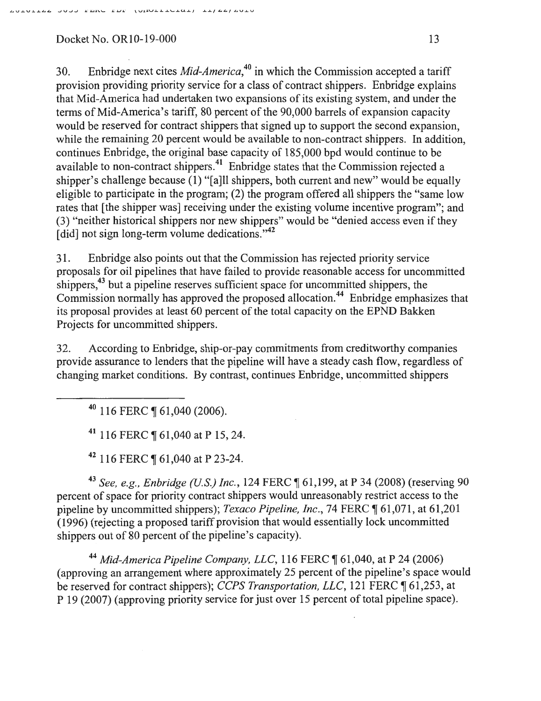30. Enbridge next cites *Mid-America, <sup>40</sup>*in which the Commission accepted a tariff provision providing priority service for a class of contract shippers. Enbridge explains that Mid-America had undertaken two expansions of its existing system, and under the terms of Mid-America's tariff, 80 percent of the 90,000 barrels of expansion capacity would be reserved for contract shippers that signed up to support the second expansion, while the remaining 20 percent would be available to non-contract shippers. In addition, continues Enbridge, the original base capacity of 185,000 bpd would continue to be available to non-contract shippers.41 Enbridge states that the Commission rejected a shipper's challenge because  $(1)$  "[a]ll shippers, both current and new" would be equally eligible to participate in the program; (2) the program offered all shippers the "same low rates that [the shipper was] receiving under the existing volume incentive program"; and (3) "neither historical shippers nor new shippers" would be "denied access even if they [did] not sign long-term volume dedications."<sup>42</sup>

31. Enbridge also points out that the Commission has rejected priority service proposals for oil pipelines that have failed to provide reasonable access for uncommitted shippers,<sup>43</sup> but a pipeline reserves sufficient space for uncommitted shippers, the Commission normally has approved the proposed allocation. 44 Enbridge emphasizes that its proposal provides at least 60 percent of the total capacity on the EPND Bakken Projects for uncommitted shippers.

32. According to Enbridge, ship-or-pay commitments from creditworthy companies provide assurance to lenders that the pipeline will have a steady cash flow, regardless of changing market conditions. By contrast, continues Enbridge, uncommitted shippers

 $40$  116 FERC ¶ 61,040 (2006).

41 116 FERC  $\P$  61,040 at P 15, 24.

42 116 FERC ¶ 61,040 at P 23-24.

43 See, e.g., *Enbridge (U.S.) Inc.*, 124 FERC  $\parallel$  61,199, at P 34 (2008) (reserving 90 percent of space for priority contract shippers would unreasonably restrict access to the pipeline by uncommitted shippers); *Texaco Pipeline, Inc.*, 74 FERC ¶ 61,071, at 61,201 (1 996) (rejecting a proposed tariff provision that would essentially lock uncommitted shippers out of 80 percent of the pipeline's capacity).

<sup>44</sup> Mid-America Pipeline Company, LLC, 116 FERC ¶ 61,040, at P 24 (2006) (approving an arrangement where approximately 25 percent of the pipeline's space would be reserved for contract shippers); *CCPS Transportation, LLC*, 121 FERC 161,253, at P 19 (2007) (approving priority service for just over 15 percent of total pipeline space).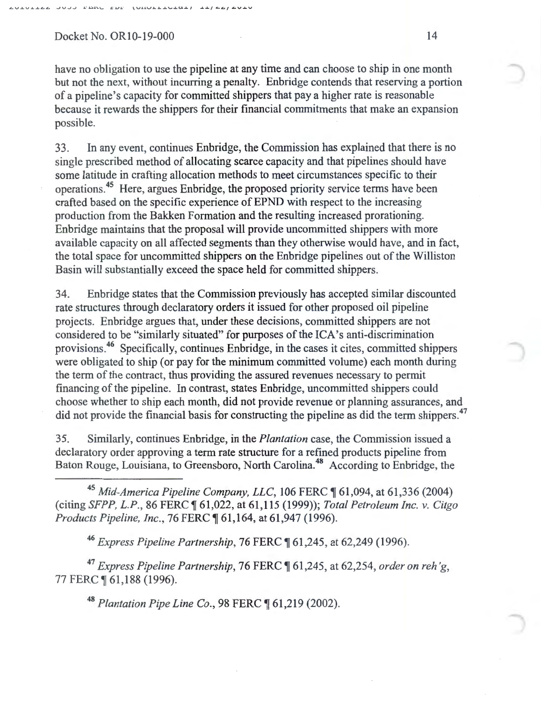have no obligation to use the pipeline at any time and can choose to ship in one month but not the next, without incurring a penalty. Enbridge contends that reserving a portion of a pipeline's capacity for committed shippers that pay a higher rate is reasonable because it rewards the shippers for their financial commitments that make an expansion possible.

33. In any event, continues Enbridge, the Commission has explained that there is no single prescribed method of allocating scarce capacity and that pipelines should have some latitude in crafting allocation methods to meet circumstances specific to their operations. 45 Here, argues Enbridge, the proposed priority service terms have been crafted based on the specific experience of EPND with respect to the increasing production from the Bakken Formation and the resulting increased prorationing. Enbridge maintains that the proposal will provide uncommitted shippers with more available capacity on all affected segments than they otherwise would have, and in fact, the total space for uncommitted shippers on the Enbridge pipelines out of the Williston Basin will substantially exceed the space held for committed shippers.

34. Enbridge states that the Commission previously has accepted similar discounted rate structures through declaratory orders it issued for other proposed oil pipeline projects. Enbridge argues that, under these decisions, committed shippers are not considered to be "similarly situated" for purposes of the ICA's anti-discrimination provisions.46 Specifically, continues Enbridge, in the cases it cites, committed shippers were obligated to ship (or pay for the minimum committed volume) each month during the term of the contract, thus providing the assured revenues necessary to permit financing of the pipeline. In contrast, states Enbridge, uncommitted shippers could choose whether to ship each month, did not provide revenue or planning assurances, and did not provide the financial basis for constructing the pipeline as did the term shippers.<sup>47</sup>

35. Similarly, continues Enbridge, in the *Plantation* case, the Commission issued a declaratory order approving a term rate structure for a refined products pipeline from Baton Rouge, Louisiana, to Greensboro, North Carolina.<sup>48</sup> According to Enbridge, the

<sup>45</sup> Mid-America Pipeline Company, LLC, 106 FERC ¶ 61,094, at 61,336 (2004) (citing *SFPP, L.P.*, 86 FERC  $\P$  61,022, at 61,115 (1999)); *Total Petroleum Inc. v. Citgo Products Pipeline, Inc., 76 FERC*  $\P$  61, 164, at 61, 947 (1996).

<sup>46</sup> Express Pipeline Partnership, 76 FERC ¶ 61,245, at 62,249 (1996).

<sup>47</sup> Express Pipeline Partnership, 76 FERC ¶ 61,245, at 62,254, *order on reh'g*, 77 FERC ¶ 61,188 (1996).

48 Plantation Pipe Line Co., 98 FERC 1 61,219 (2002).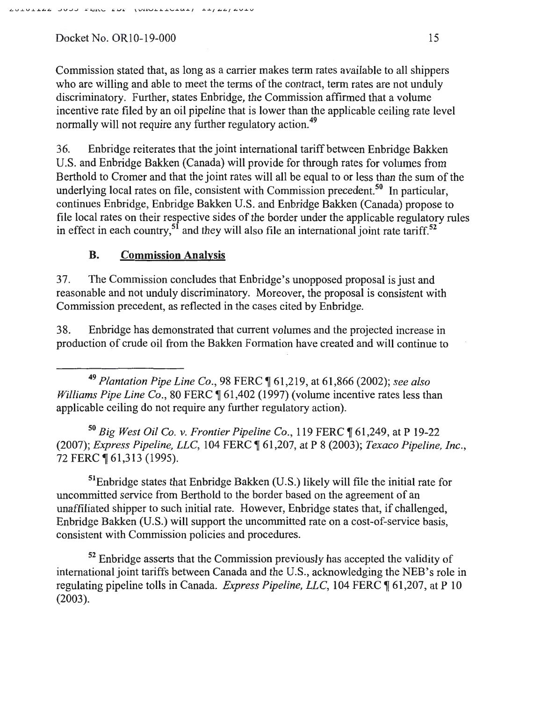Commission stated that, as long as a carrier makes term rates available to all shippers who are willing and able to meet the terms of the contract, term rates are not unduly discriminatory. Further, states Enbridge, the Commission affirmed that a volume incentive rate filed by an oil pipeline that is lower than the applicable ceiling rate level normally will not require any further regulatory action.<sup>49</sup>

36. Enbridge reiterates that the joint international tariff between Enbridge Bakken U.S. and Enbridge Bakken (Canada) will provide for through rates for volumes from Berthold to Cromer and that the joint rates will all be equal to or less than the sum of the underlying local rates on file, consistent with Commission precedent.<sup>50</sup> In particular, continues Enbridge, Enbridge Bakken U.S. and Enbridge Bakken (Canada) propose to file local rates on their respective sides of the border under the applicable regulatory rules in effect in each country,<sup>51</sup> and they will also file an international joint rate tariff.<sup>52</sup>

## **B. Commission Analysis**

37. The Commission concludes that Enbridge's unopposed proposal is just and reasonable and not unduly discriminatory. Moreover, the proposal is consistent with Commission precedent, as reflected in the cases cited by Enbridge.

38. Enbridge has demonstrated that current volumes and the projected increase in production 9f crude oil from the Bakken Formation have created and will continue to

<sup>49</sup>*Plantation Pipe Line Co.,* 98 FERC ~ 61,219, at 61,866 (2002); *see also Williams Pipe Line Co., 80 FERC*  $\llbracket 61,402$  (1997) (volume incentive rates less than applicable ceiling do not require any further regulatory action).

<sup>50</sup>*Big West Oil Co. v. Frontier Pipeline Co.,* 119 FERC ~ 61,249, at P 19-22 (2007); *Express Pipeline, LLC*, 104 FERC ¶ 61,207, at P 8 (2003); *Texaco Pipeline, Inc.*, 72 FERC ¶ 61,313 (1995).

51Enbridge states that Enbridge Bakken (U.S.) likely will file the initial rate for uncommitted service from Berthold to the border based on the agreement of an unaffiliated shipper to such initial rate. However, Enbridge states that, if challenged, Enbridge Bakken (U.S.) will support the uncommitted rate on a cost-of-service basis, consistent with Commission policies and procedures.

 $52$  Enbridge asserts that the Commission previously has accepted the validity of international joint tariffs between Canada and the U.S., acknowledging the NEB's role in regulating pipeline tolls in Canada. *Express Pipeline, LLC*, 104 FERC ¶ 61,207, at P 10 (2003).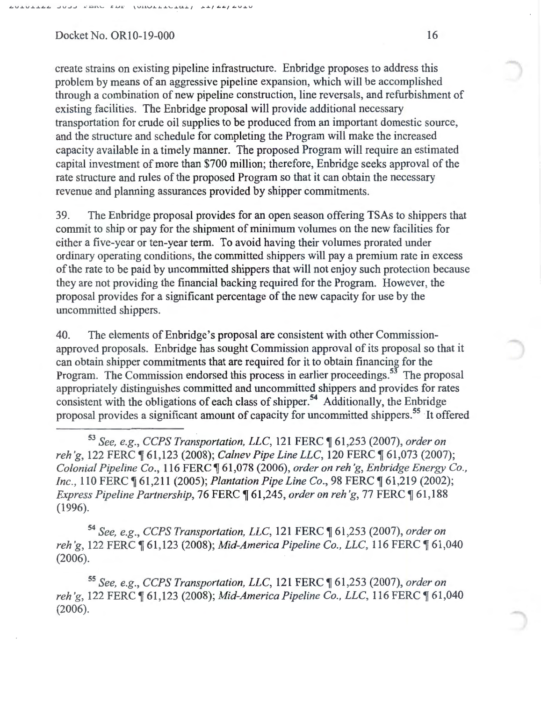create strains on existing pipeline infrastructure. Enbridge proposes to address this problem by means of an aggressive pipeline expansion, which will be accomplished through a combination of new pipeline construction, line reversals, and refurbishment of existing facilities. The Enbridge proposal will provide additional necessary transportation for crude oil supplies to be produced from an important domestic source, and the structure and schedule for completing the Program will make the increased capacity available in a timely manner. The proposed Program will require an estimated capital investment of more than \$700 million; therefore, Enbridge seeks approval of the rate structure and rules of the proposed Program so that it can obtain the necessary revenue and planning assurances provided by shipper commitments.

39. The Enbridge proposal provides for an open season offering TSAs to shippers that commit to ship or pay for the shipment of minimum volumes on the new facilities for either a five-year or ten-year term. To avoid having their volumes prorated under ordinary operating conditions, the committed shippers will pay a premium rate in excess of the rate to be paid by uncommitted shippers that will not enjoy such protection because they are not providing the financial backing required for the Program. However, the proposal provides for a significant percentage of the new capacity for use by the uncommitted shippers.

40. The elements of Enbridge's proposal are consistent with other Commissionapproved proposals. Enbridge has sought Commission approval of its proposal so that it can obtain shipper commitments that are required for it to obtain financing for the Program. The Commission endorsed this process in earlier proceedings.<sup>53</sup> The proposal appropriately distinguishes committed and uncommitted shippers and provides for rates consistent with the obligations of each class of shipper.<sup>54</sup> Additionally, the Enbridge proposal provides a significant amount of capacity for uncommitted shippers.<sup>55</sup> It offered

<sup>53</sup>*See, e.g., CCPS Transportation, LLC,* 121 FERC ~ 61,253 (2007), *order on reh'g, 122 FERC*  $\parallel$  61,123 (2008); *Calnev Pipe Line LLC*, 120 FERC  $\parallel$  61,073 (2007); *Colonial Pipeline Co., 116 FERC*  $\lceil 61,078 \rceil$  (2006), *order on reh'g, Enbridge Energy Co., Inc.,* 110 FERC  $\llbracket 61,211$  (2005); *Plantation Pipe Line Co.,* 98 FERC  $\llbracket 61,219$  (2002); *Express Pipeline Partnership, 76 FERC*  $\parallel$  61,245, *order on reh'g, 77 FERC*  $\parallel$  61,188 (1996).

<sup>54</sup>*See, e.g., CCPS Transportation, LLC,* 121 FERC ~ 61,253 (2007), *order on reh'g, 122 FERC*  $\P$  61,123 (2008); *Mid-America Pipeline Co., LLC*, 116 FERC  $\P$  61,040 (2006).

<sup>55</sup>*See, e.g., CCPS Transportation, LLC,* 121 FERC ~ 61,253 (2007), *order on reh 'g,* 122 FERC ~ 61,123 (2008); *Mid-America Pipeline Co., LLC,* 116 FERC ~ 61,040 (2006).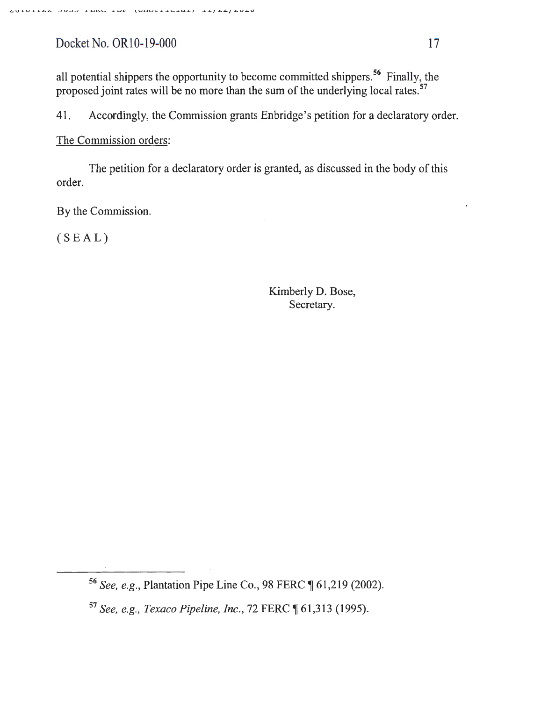all potential shippers the opportunity to become committed shippers.<sup>56</sup> Finally, the proposed joint rates will be no more than the sum of the underlying local rates.<sup>57</sup>

41. Accordingly, the Commission grants Enbridge's petition for a declaratory order.

The Commission orders:

The petition for a declaratory order is granted, as discussed in the body of this order.

By the Commission.

(SEAL)

Kimberly D. Bose, Secretary.

<sup>56</sup> See, e.g., Plantation Pipe Line Co., 98 FERC ¶ 61,219 (2002).

<sup>&</sup>lt;sup>57</sup> See, e.g., Texaco Pipeline, Inc., 72 FERC ¶ 61,313 (1995).